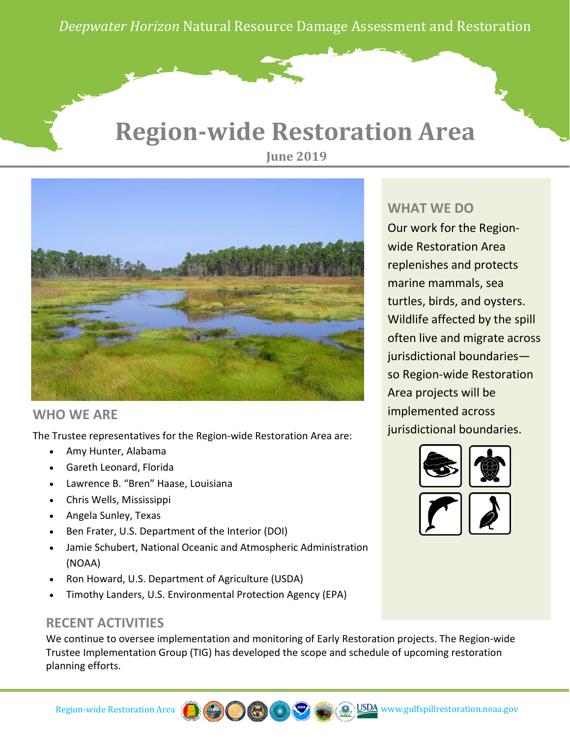*Deepwater Horizon* Natural Resource Damage Assessment and Restoration *Deepwater Horizon* Natural Resource Damage Assessment and Restoration

# **Region-wide Restoration Area**

**June 2019**



#### **WHO WE ARE**

The Trustee representatives for the Region-wide Restoration Area are:

- Amy Hunter, Alabama
- Gareth Leonard, Florida
- Lawrence B. "Bren" Haase, Louisiana
- Chris Wells, Mississippi
- Angela Sunley, Texas
- Ben Frater, U.S. Department of the Interior (DOI)
- Jamie Schubert, National Oceanic and Atmospheric Administration (NOAA)
- Ron Howard, U.S. Department of Agriculture (USDA)
- Timothy Landers, U.S. Environmental Protection Agency (EPA)

### **RECENT ACTIVITIES**

We continue to oversee implementation and monitoring of Early Restoration projects. The Region-wide Trustee Implementation Group (TIG) has developed the scope and schedule of upcoming restoration planning efforts.

### **WHAT WE DO**

Our work for the Regionwide Restoration Area replenishes and protects marine mammals, sea turtles, birds, and oysters. Wildlife affected by the spill often live and migrate across jurisdictional boundaries so Region-wide Restoration Area projects will be implemented across jurisdictional boundaries.